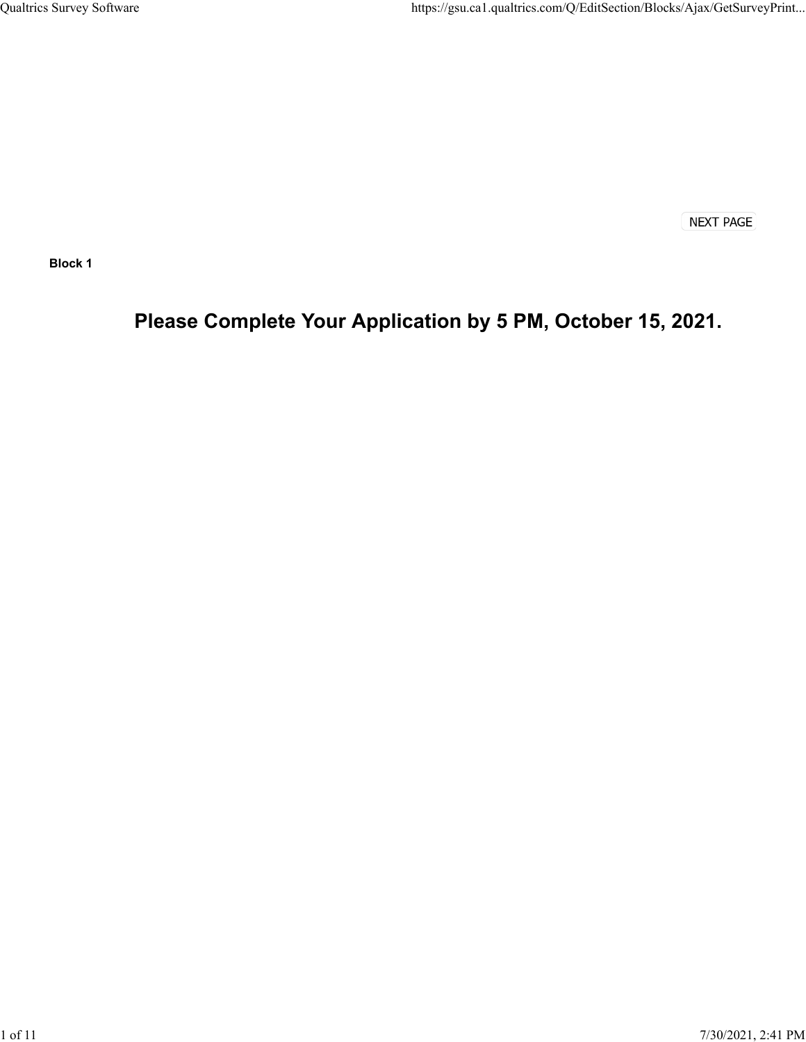**NEXT PAGE** 

**Block 1**

# **Please Complete Your Application by 5 PM, October 15, 2021.**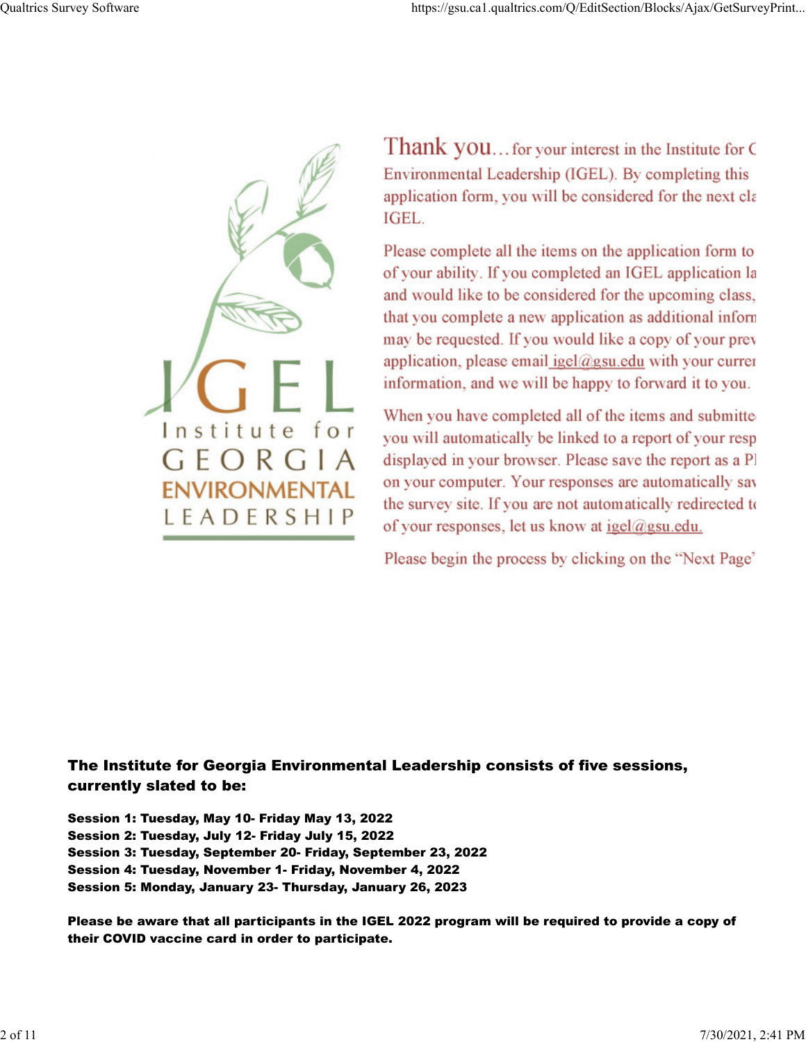

Thank you... for your interest in the Institute for C Environmental Leadership (IGEL). By completing this application form, you will be considered for the next cla IGEL.

Please complete all the items on the application form to of your ability. If you completed an IGEL application la and would like to be considered for the upcoming class, that you complete a new application as additional inform may be requested. If you would like a copy of your prev application, please email igel@gsu.edu with your currer information, and we will be happy to forward it to you.

When you have completed all of the items and submitte you will automatically be linked to a report of your resp displayed in your browser. Please save the report as a Pl on your computer. Your responses are automatically say the survey site. If you are not automatically redirected to of your responses, let us know at igel@gsu.edu.

Please begin the process by clicking on the "Next Page"

# The Institute for Georgia Environmental Leadership consists of five sessions, currently slated to be:

Session 1: Tuesday, May 10- Friday May 13, 2022 Session 2: Tuesday, July 12- Friday July 15, 2022 Session 3: Tuesday, September 20- Friday, September 23, 2022 Session 4: Tuesday, November 1- Friday, November 4, 2022 Session 5: Monday, January 23- Thursday, January 26, 2023

Please be aware that all participants in the IGEL 2022 program will be required to provide a copy of their COVID vaccine card in order to participate.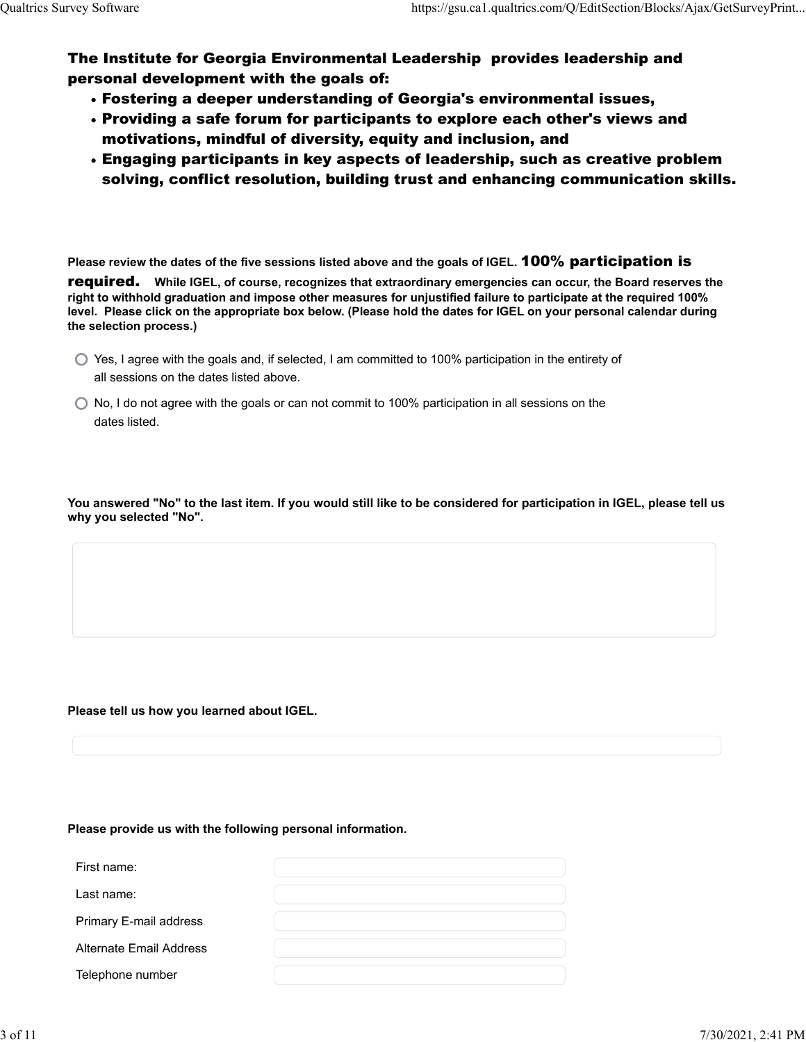The Institute for Georgia Environmental Leadership provides leadership and personal development with the goals of:

- Fostering a deeper understanding of Georgia's environmental issues,
- Providing a safe forum for participants to explore each other's views and motivations, mindful of diversity, equity and inclusion, and
- Engaging participants in key aspects of leadership, such as creative problem solving, conflict resolution, building trust and enhancing communication skills.

**Please review the dates of the five sessions listed above and the goals of IGEL.** 100% participation is

required. **While IGEL, of course, recognizes that extraordinary emergencies can occur, the Board reserves the right to withhold graduation and impose other measures for unjustified failure to participate at the required 100% level. Please click on the appropriate box below. (Please hold the dates for IGEL on your personal calendar during the selection process.)**

- $\bigcirc$  Yes, I agree with the goals and, if selected, I am committed to 100% participation in the entirety of all sessions on the dates listed above.
- $\bigcirc$  No, I do not agree with the goals or can not commit to 100% participation in all sessions on the dates listed.

**You answered "No" to the last item. If you would still like to be considered for participation in IGEL, please tell us why you selected "No".**

# **Please tell us how you learned about IGEL.**

# **Please provide us with the following personal information.**

| First name:             |  |
|-------------------------|--|
| Last name:              |  |
| Primary E-mail address  |  |
| Alternate Email Address |  |
| Telephone number        |  |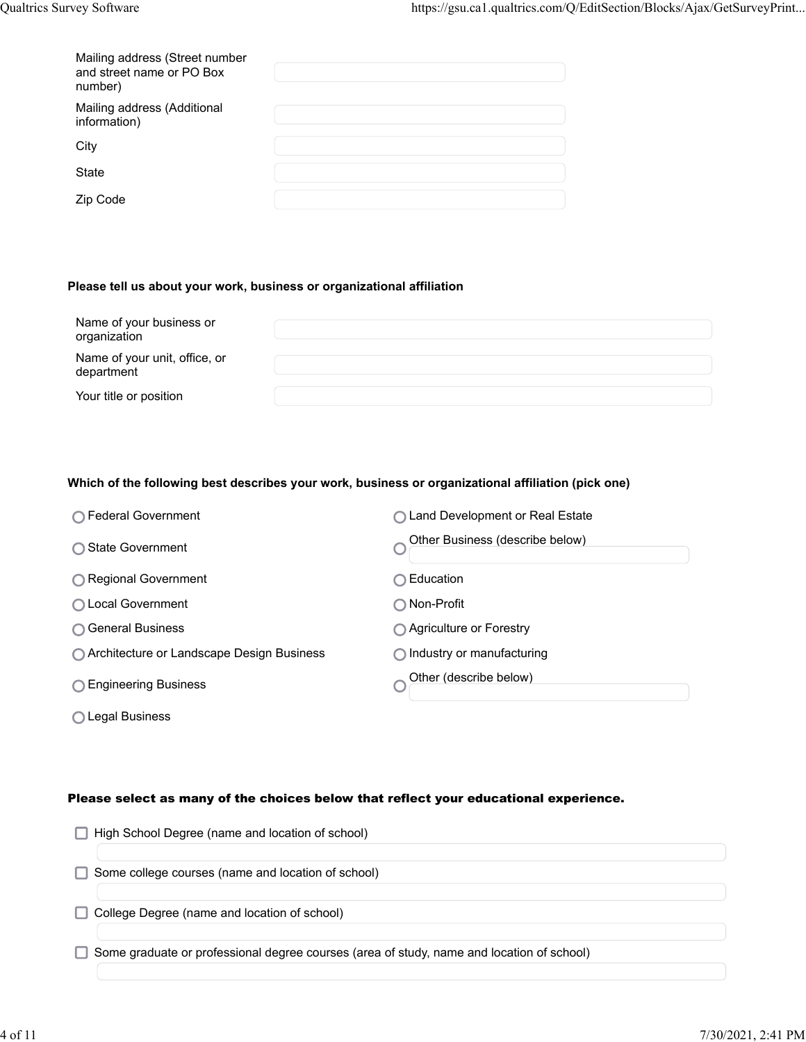| Mailing address (Street number<br>and street name or PO Box<br>number) |  |
|------------------------------------------------------------------------|--|
| Mailing address (Additional<br>information)                            |  |
| City                                                                   |  |
| State                                                                  |  |
| Zip Code                                                               |  |

# **Please tell us about your work, business or organizational affiliation**

| Name of your business or<br>organization    |  |
|---------------------------------------------|--|
| Name of your unit, office, or<br>department |  |
| Your title or position                      |  |

#### **Which of the following best describes your work, business or organizational affiliation (pick one)**

| ∩ Federal Government                        | ◯ Land Development or Real Estate   |
|---------------------------------------------|-------------------------------------|
| ◯ State Government                          | Other Business (describe below)     |
| ◯ Regional Government                       | Education                           |
| ◯ Local Government                          | ∩ Non-Profit                        |
| ◯ General Business                          | ◯ Agriculture or Forestry           |
| ◯ Architecture or Landscape Design Business | $\bigcap$ Industry or manufacturing |
| ◯ Engineering Business                      | Other (describe below)              |
| ◯ Legal Business                            |                                     |

# Please select as many of the choices below that reflect your educational experience.

| High School Degree (name and location of school)                                          |
|-------------------------------------------------------------------------------------------|
|                                                                                           |
| Some college courses (name and location of school)                                        |
| College Degree (name and location of school)                                              |
|                                                                                           |
| Some graduate or professional degree courses (area of study, name and location of school) |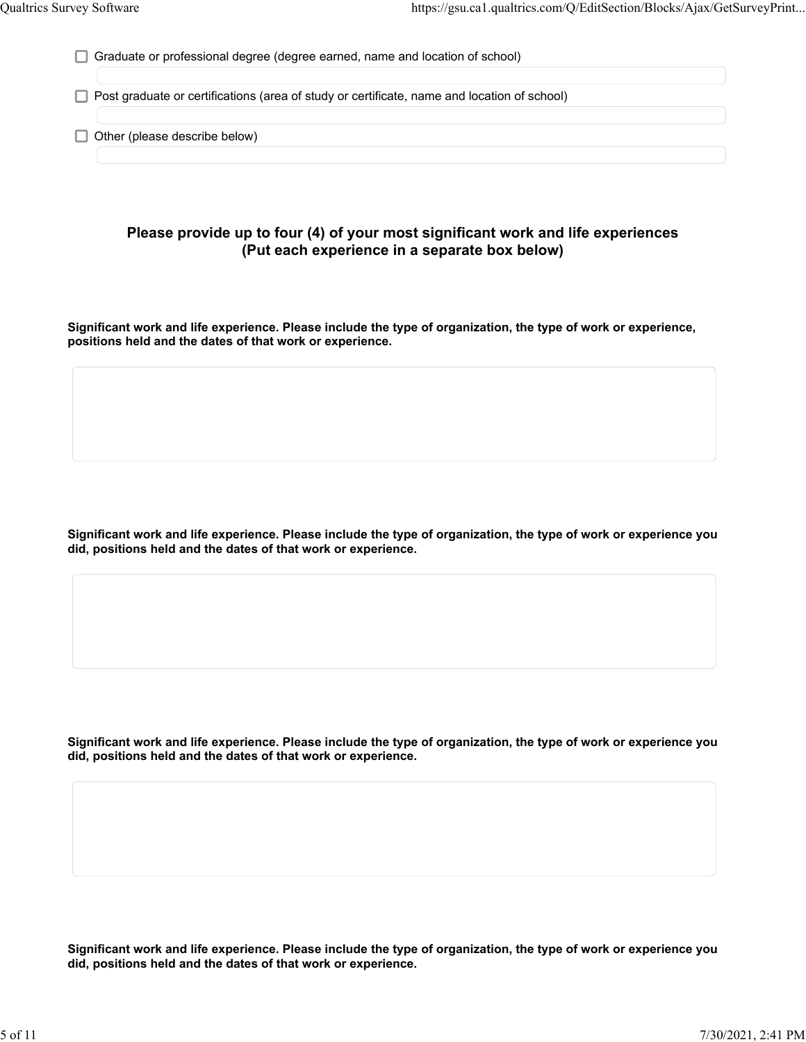Graduate or professional degree (degree earned, name and location of school)

 $\Box$  Post graduate or certifications (area of study or certificate, name and location of school)

 $\Box$  Other (please describe below)

# **Please provide up to four (4) of your most significant work and life experiences (Put each experience in a separate box below)**

**Significant work and life experience. Please include the type of organization, the type of work or experience, positions held and the dates of that work or experience.**

**Significant work and life experience. Please include the type of organization, the type of work or experience you did, positions held and the dates of that work or experience.**

**Significant work and life experience. Please include the type of organization, the type of work or experience you did, positions held and the dates of that work or experience.**

**Significant work and life experience. Please include the type of organization, the type of work or experience you did, positions held and the dates of that work or experience.**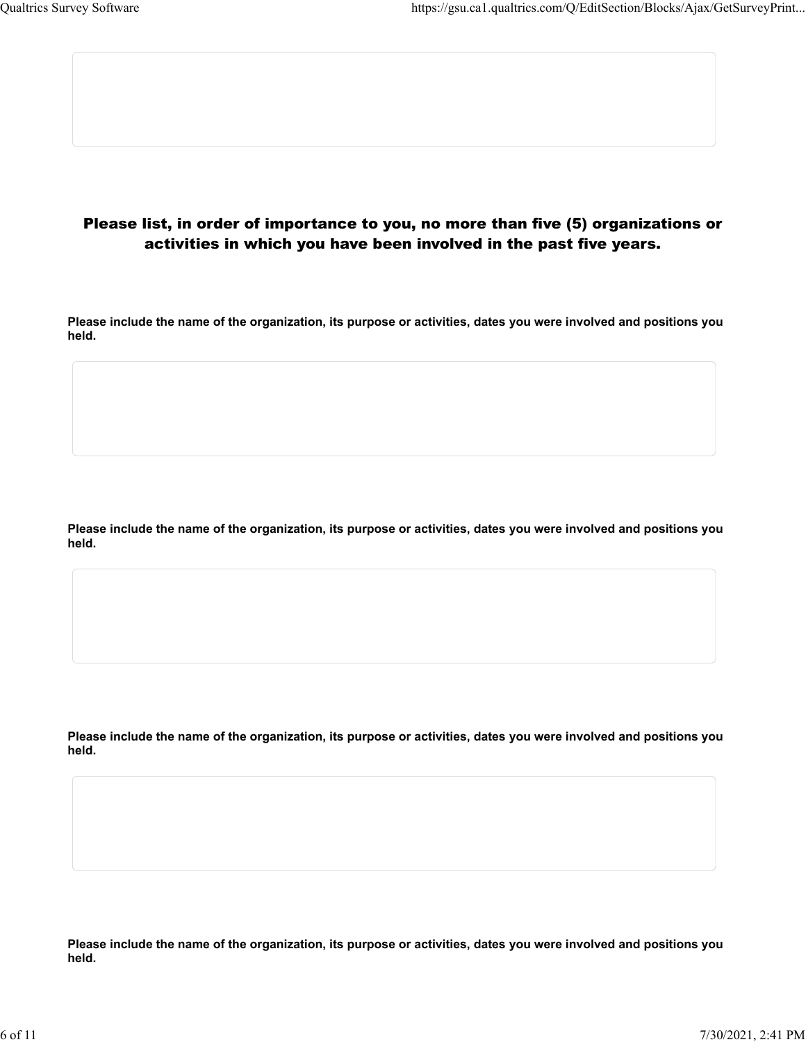# Please list, in order of importance to you, no more than five (5) organizations or activities in which you have been involved in the past five years.

**Please include the name of the organization, its purpose or activities, dates you were involved and positions you held.**

**Please include the name of the organization, its purpose or activities, dates you were involved and positions you held.**

**Please include the name of the organization, its purpose or activities, dates you were involved and positions you held.**

**Please include the name of the organization, its purpose or activities, dates you were involved and positions you held.**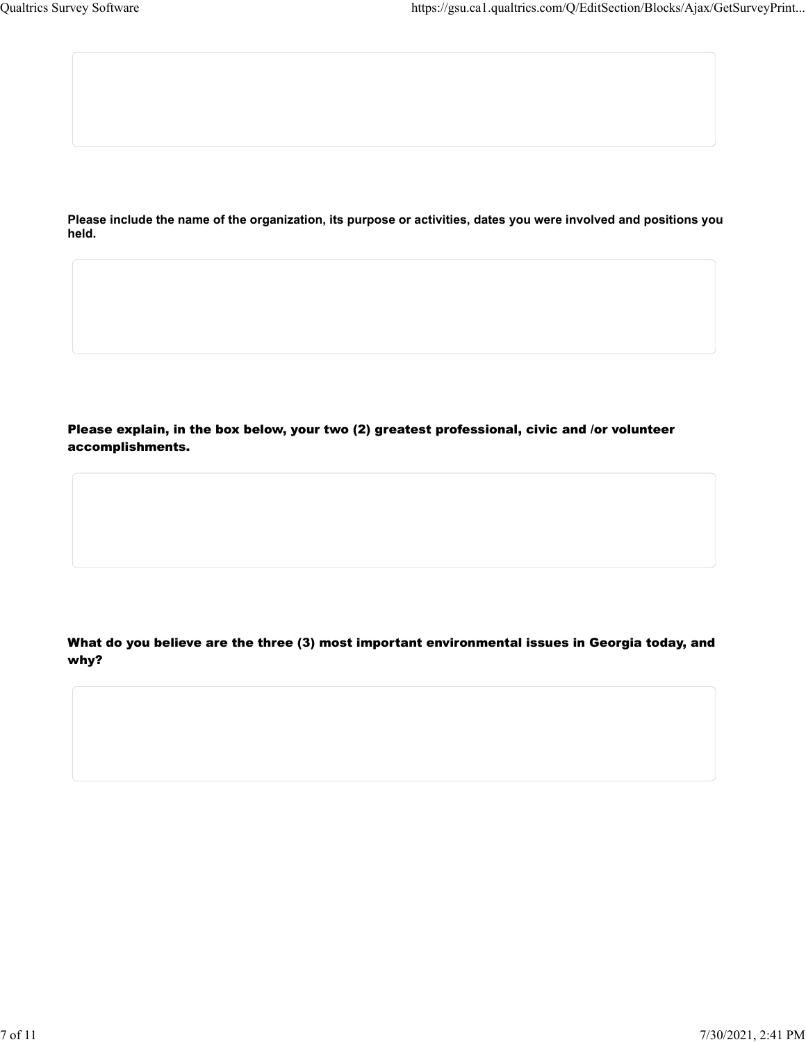**Please include the name of the organization, its purpose or activities, dates you were involved and positions you held.**

Please explain, in the box below, your two (2) greatest professional, civic and /or volunteer accomplishments.

What do you believe are the three (3) most important environmental issues in Georgia today, and why?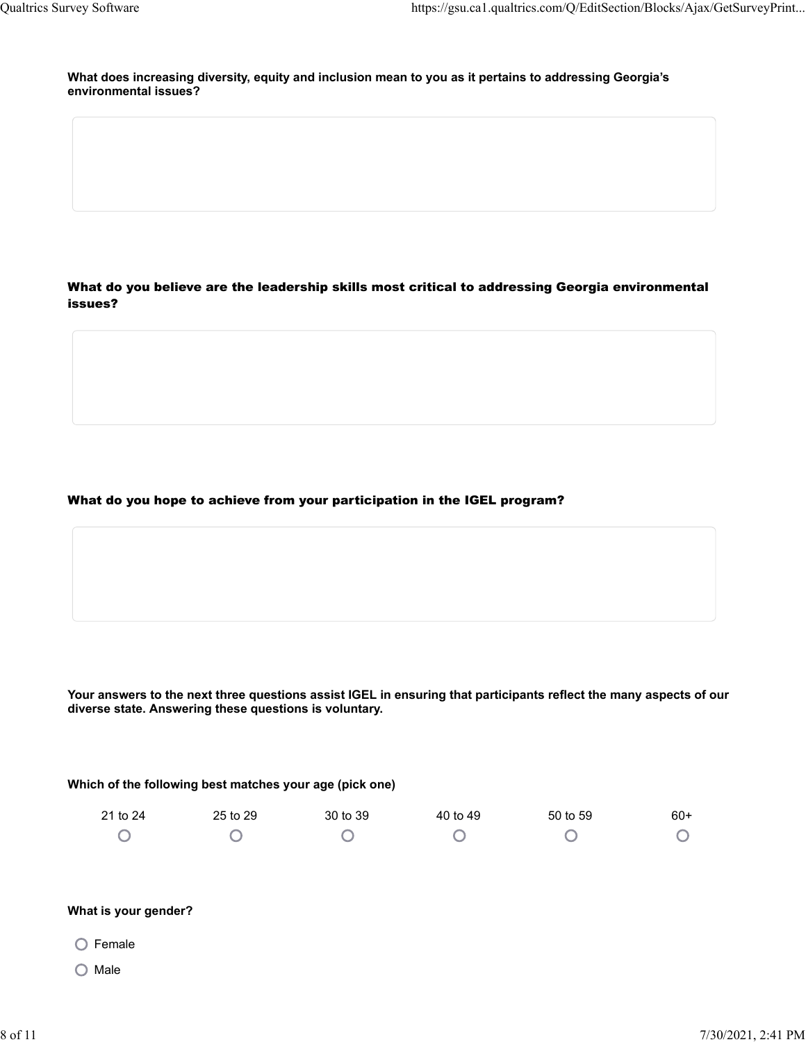**What does increasing diversity, equity and inclusion mean to you as it pertains to addressing Georgia's environmental issues?** 

What do you believe are the leadership skills most critical to addressing Georgia environmental issues?

What do you hope to achieve from your participation in the IGEL program?

**Your answers to the next three questions assist IGEL in ensuring that participants reflect the many aspects of our diverse state. Answering these questions is voluntary.**

**Which of the following best matches your age (pick one)**

| 21 to 24 | 25 to 29 | 30 to 39 | 40 to 49 | 50 to 59 | $60+$      |
|----------|----------|----------|----------|----------|------------|
|          |          |          |          |          | $\bigcirc$ |

# **What is your gender?**

- $O$  Female
- $O$  Male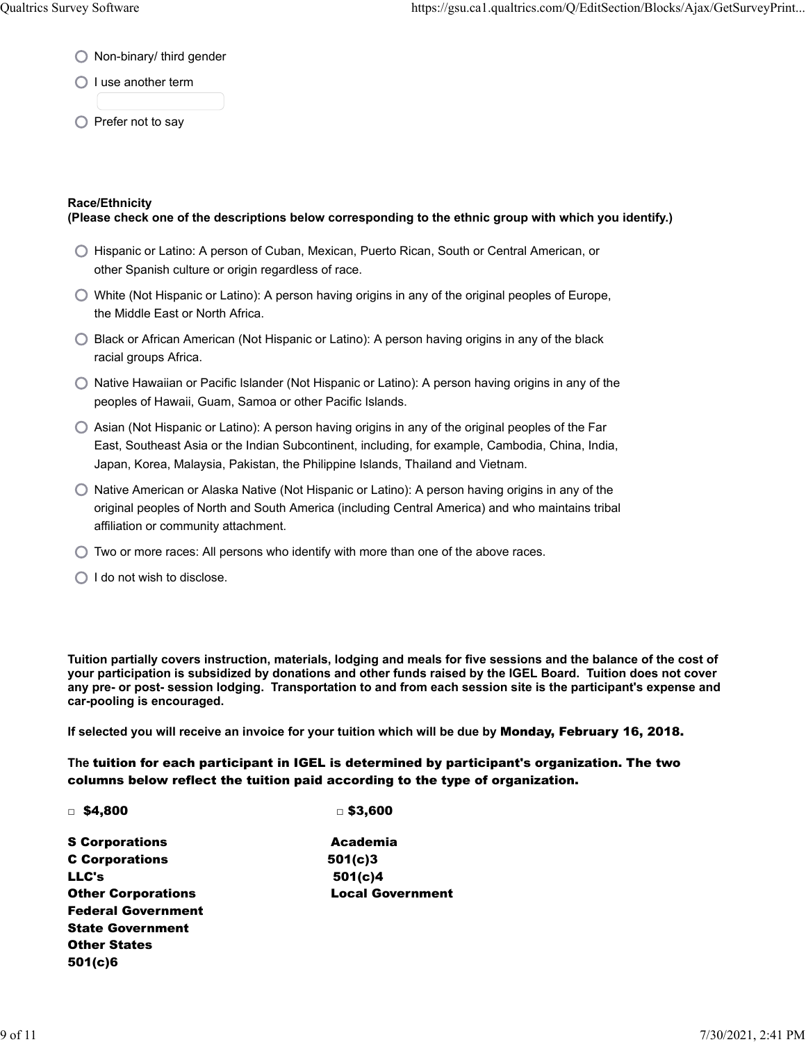- ◯ Non-binary/ third gender
- $\bigcirc$  I use another term
- $\bigcirc$  Prefer not to say

# **Race/Ethnicity**

# **(Please check one of the descriptions below corresponding to the ethnic group with which you identify.)**

- Hispanic or Latino: A person of Cuban, Mexican, Puerto Rican, South or Central American, or other Spanish culture or origin regardless of race.
- $\bigcirc$  White (Not Hispanic or Latino): A person having origins in any of the original peoples of Europe, the Middle East or North Africa.
- ◯ Black or African American (Not Hispanic or Latino): A person having origins in any of the black racial groups Africa.
- $\bigcirc$  Native Hawaiian or Pacific Islander (Not Hispanic or Latino): A person having origins in any of the peoples of Hawaii, Guam, Samoa or other Pacific Islands.
- $\bigcirc$  Asian (Not Hispanic or Latino): A person having origins in any of the original peoples of the Far East, Southeast Asia or the Indian Subcontinent, including, for example, Cambodia, China, India, Japan, Korea, Malaysia, Pakistan, the Philippine Islands, Thailand and Vietnam.
- $\bigcirc$  Native American or Alaska Native (Not Hispanic or Latino): A person having origins in any of the original peoples of North and South America (including Central America) and who maintains tribal affiliation or community attachment.
- $\bigcirc$  Two or more races: All persons who identify with more than one of the above races.
- $\bigcirc$  I do not wish to disclose.

**Tuition partially covers instruction, materials, lodging and meals for five sessions and the balance of the cost of your participation is subsidized by donations and other funds raised by the IGEL Board. Tuition does not cover any pre- or post- session lodging. Transportation to and from each session site is the participant's expense and car-pooling is encouraged.**

**If selected you will receive an invoice for your tuition which will be due by** Monday, February 16, 2018.

**The** tuition for each participant in IGEL is determined by participant's organization. The two columns below reflect the tuition paid according to the type of organization.

|  | $\sqrt{54,800}$ | $\Box$ \$3,600 |
|--|-----------------|----------------|
|--|-----------------|----------------|

| <b>S</b> Corporations     | Academia                |
|---------------------------|-------------------------|
| <b>C</b> Corporations     | 501(c)3                 |
| LLC's                     | 501(c)4                 |
| <b>Other Corporations</b> | <b>Local Government</b> |
| <b>Federal Government</b> |                         |
| <b>State Government</b>   |                         |
| <b>Other States</b>       |                         |
| 501(c)6                   |                         |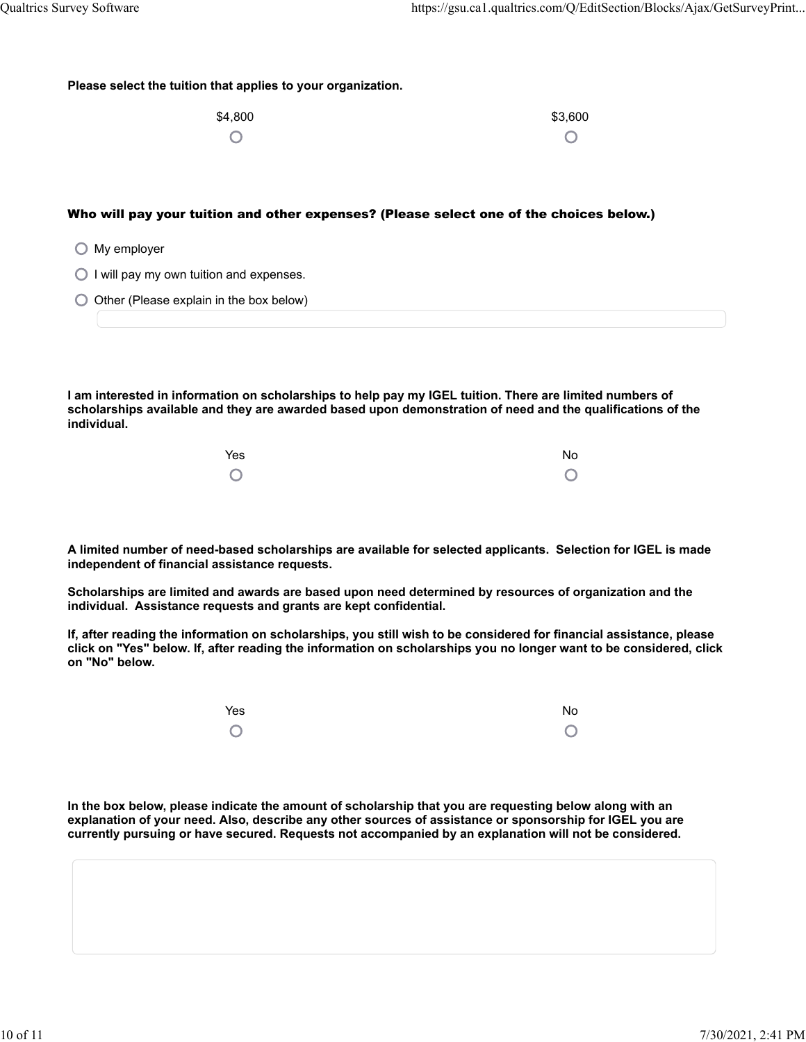| Please select the tuition that applies to your organization. |
|--------------------------------------------------------------|
|--------------------------------------------------------------|

| \$4,800 | \$3,600 |
|---------|---------|
| $\circ$ |         |

# Who will pay your tuition and other expenses? (Please select one of the choices below.)

|  | My employer |  |
|--|-------------|--|
|  |             |  |

- $\bigcirc$  I will pay my own tuition and expenses.
- $\bigcirc$  Other (Please explain in the box below)

**I am interested in information on scholarships to help pay my IGEL tuition. There are limited numbers of scholarships available and they are awarded based upon demonstration of need and the qualifications of the individual.**

| Yes     | No         |
|---------|------------|
| $\circ$ | $\bigcirc$ |

**A limited number of need-based scholarships are available for selected applicants. Selection for IGEL is made independent of financial assistance requests.**

**Scholarships are limited and awards are based upon need determined by resources of organization and the individual. Assistance requests and grants are kept confidential.**

**If, after reading the information on scholarships, you still wish to be considered for financial assistance, please click on "Yes" below. If, after reading the information on scholarships you no longer want to be considered, click on "No" below.**

| Yes     | No      |
|---------|---------|
| $\circ$ | $\circ$ |

**In the box below, please indicate the amount of scholarship that you are requesting below along with an explanation of your need. Also, describe any other sources of assistance or sponsorship for IGEL you are currently pursuing or have secured. Requests not accompanied by an explanation will not be considered.**